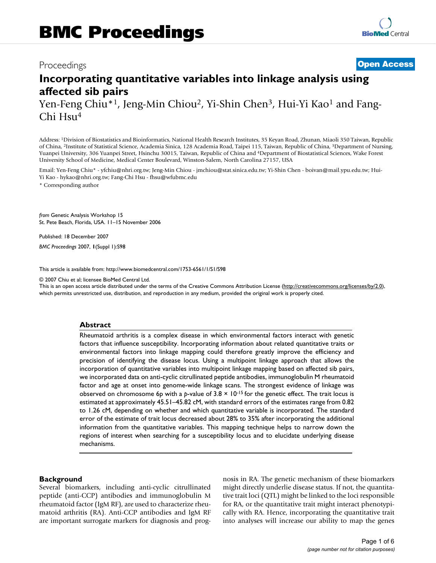# Proceedings **[Open Access](http://www.biomedcentral.com/info/about/charter/)**

# **Incorporating quantitative variables into linkage analysis using affected sib pairs**

Yen-Feng Chiu\*<sup>1</sup>, Jeng-Min Chiou<sup>2</sup>, Yi-Shin Chen<sup>3</sup>, Hui-Yi Kao<sup>1</sup> and Fang-Chi Hsu<sup>4</sup>

Address: 1Division of Biostatistics and Bioinformatics, National Health Research Institutes, 35 Keyan Road, Zhunan, Miaoli 350 Taiwan, Republic of China, 2Institute of Statistical Science, Academia Sinica, 128 Academia Road, Taipei 115, Taiwan, Republic of China, 3Department of Nursing, Yuanpei University, 306 Yuanpei Street, Hsinchu 30015, Taiwan, Republic of China and 4Department of Biostatistical Sciences, Wake Forest University School of Medicine, Medical Center Boulevard, Winston-Salem, North Carolina 27157, USA

Email: Yen-Feng Chiu\* - yfchiu@nhri.org.tw; Jeng-Min Chiou - jmchiou@stat.sinica.edu.tw; Yi-Shin Chen - boivan@mail.ypu.edu.tw; Hui-Yi Kao - hykao@nhri.org.tw; Fang-Chi Hsu - fhsu@wfubmc.edu

\* Corresponding author

*from* Genetic Analysis Workshop 15 St. Pete Beach, Florida, USA. 11–15 November 2006

Published: 18 December 2007

*BMC Proceedings* 2007, **1**(Suppl 1):S98

[This article is available from: http://www.biomedcentral.com/1753-6561/1/S1/S98](http://www.biomedcentral.com/1753-6561/1/S1/S98)

© 2007 Chiu et al; licensee BioMed Central Ltd.

This is an open access article distributed under the terms of the Creative Commons Attribution License [\(http://creativecommons.org/licenses/by/2.0\)](http://creativecommons.org/licenses/by/2.0), which permits unrestricted use, distribution, and reproduction in any medium, provided the original work is properly cited.

#### **Abstract**

Rheumatoid arthritis is a complex disease in which environmental factors interact with genetic factors that influence susceptibility. Incorporating information about related quantitative traits or environmental factors into linkage mapping could therefore greatly improve the efficiency and precision of identifying the disease locus. Using a multipoint linkage approach that allows the incorporation of quantitative variables into multipoint linkage mapping based on affected sib pairs, we incorporated data on anti-cyclic citrullinated peptide antibodies, immunoglobulin M rheumatoid factor and age at onset into genome-wide linkage scans. The strongest evidence of linkage was observed on chromosome 6p with a *p*-value of 3.8 × 10-15 for the genetic effect. The trait locus is estimated at approximately 45.51–45.82 cM, with standard errors of the estimates range from 0.82 to 1.26 cM, depending on whether and which quantitative variable is incorporated. The standard error of the estimate of trait locus decreased about 28% to 35% after incorporating the additional information from the quantitative variables. This mapping technique helps to narrow down the regions of interest when searching for a susceptibility locus and to elucidate underlying disease mechanisms.

#### **Background**

Several biomarkers, including anti-cyclic citrullinated peptide (anti-CCP) antibodies and immunoglobulin M rheumatoid factor (IgM RF), are used to characterize rheumatoid arthritis (RA). Anti-CCP antibodies and IgM RF are important surrogate markers for diagnosis and prognosis in RA. The genetic mechanism of these biomarkers might directly underlie disease status. If not, the quantitative trait loci (QTL) might be linked to the loci responsible for RA, or the quantitative trait might interact phenotypically with RA. Hence, incorporating the quantitative trait into analyses will increase our ability to map the genes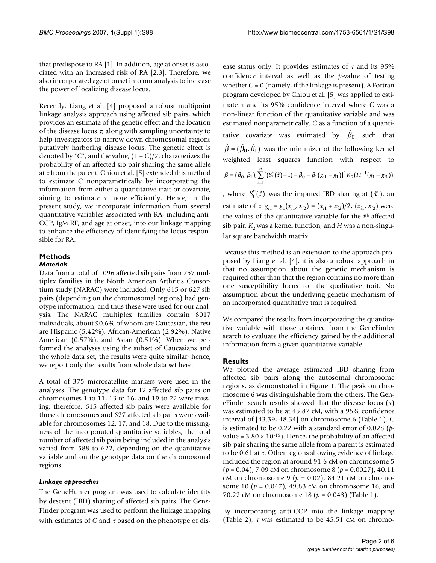that predispose to RA [1]. In addition, age at onset is associated with an increased risk of RA [2,3]. Therefore, we also incorporated age of onset into our analysis to increase the power of localizing disease locus.

Recently, Liang et al. [4] proposed a robust multipoint linkage analysis approach using affected sib pairs, which provides an estimate of the genetic effect and the location of the disease locus  $\tau$ , along with sampling uncertainty to help investigators to narrow down chromosomal regions putatively harboring disease locus. The genetic effect is denoted by "*C*", and the value, (1 + *C*)/2, characterizes the probability of an affected sib pair sharing the same allele at  $\tau$  from the parent. Chiou et al. [5] extended this method to estimate *C* nonparametrically by incorporating the information from either a quantitative trait or covariate, aiming to estimate  $\tau$  more efficiently. Hence, in the present study, we incorporate information from several quantitative variables associated with RA, including anti-CCP, IgM RF, and age at onset, into our linkage mapping to enhance the efficiency of identifying the locus responsible for RA.

#### **Methods** *Materials*

Data from a total of 1096 affected sib pairs from 757 multiplex families in the North American Arthritis Consortium study (NARAC) were included. Only 615 or 627 sib pairs (depending on the chromosomal regions) had genotype information, and thus these were used for our analysis. The NARAC multiplex families contain 8017 individuals, about 90.6% of whom are Caucasian, the rest are Hispanic (5.42%), African-American (2.92%), Native American (0.57%), and Asian (0.51%). When we performed the analyses using the subset of Caucasians and the whole data set, the results were quite similar; hence, we report only the results from whole data set here.

A total of 375 microsatellite markers were used in the analyses. The genotype data for 12 affected sib pairs on chromosomes 1 to 11, 13 to 16, and 19 to 22 were missing; therefore, 615 affected sib pairs were available for those chromosomes and 627 affected sib pairs were available for chromosomes 12, 17, and 18. Due to the missingness of the incorporated quantitative variables, the total number of affected sib pairs being included in the analysis varied from 588 to 622, depending on the quantitative variable and on the genotype data on the chromosomal regions.

## *Linkage approaches*

The GeneHunter program was used to calculate identity by descent (IBD) sharing of affected sib pairs. The Gene-Finder program was used to perform the linkage mapping with estimates of *C* and <sup>τ</sup> based on the phenotype of disease status only. It provides estimates of  $\tau$  and its 95% confidence interval as well as the *p*-value of testing whether  $C = 0$  (namely, if the linkage is present). A Fortran program developed by Chiou et al. [5] was applied to estimate <sup>τ</sup> and its 95% confidence interval where *C* was a non-linear function of the quantitative variable and was estimated nonparametrically. *C* as a function of a quantitative covariate was estimated by  $\hat{\beta}_0$  such that  $\hat{\beta} = (\hat{\beta}_0, \hat{\beta}_1)$  was the minimizer of the following kernel weighted least squares function with respect to , where  $S_i^*(\tilde{\tau})$  was the imputed IBD sharing at  $(\tilde{\tau})$ , an  $\beta = (\beta_0, \beta_1), \sum_{i} [S_i^*(\tilde{\tau}) - 1] - \beta_0 - \beta_1 (g_{i1} - g_1)]^2 K_2 (H^{-1}(g_1 (\beta_0, \beta_1)$ ,  $\sum_{i=1}^{n} [(S_i^*(\tilde{\tau})-1) - \beta_0 - \beta_1 (g_{i1} - g_1)]^2 K_2 (H^{-1}(g_1 - g_{i1}))$  $\sum_{i=1}^{n}[(S_i^*(\tilde{\tau})-1)-\beta_0-\beta_1(g_{i1}-g_1)]^2K_2(H^{-1}(g_1-g_{i1}))$ 

estimate of  $\tau$ ,  $g_{i1} = g_1(x_{i1}, x_{i2}) = (x_{i1} + x_{i2})/2$ ,  $(x_{i1}, x_{i2})$  were the values of the quantitative variable for the *i*th affected sib pair.  $K_2$  was a kernel function, and  $H$  was a non-singular square bandwidth matrix.

Because this method is an extension to the approach proposed by Liang et al. [4], it is also a robust approach in that no assumption about the genetic mechanism is required other than that the region contains no more than one susceptibility locus for the qualitative trait. No assumption about the underlying genetic mechanism of an incorporated quantitative trait is required.

We compared the results from incorporating the quantitative variable with those obtained from the GeneFinder search to evaluate the efficiency gained by the additional information from a given quantitative variable.

## **Results**

We plotted the average estimated IBD sharing from affected sib pairs along the autosomal chromosome regions, as demonstrated in Figure 1. The peak on chromosome 6 was distinguishable from the others. The GeneFinder search results showed that the disease locus  $(\tau)$ was estimated to be at 45.87 cM, with a 95% confidence interval of [43.39, 48.34] on chromosome 6 (Table 1). C is estimated to be 0.22 with a standard error of 0.028 (*p*value =  $3.80 \times 10^{-15}$ ). Hence, the probability of an affected sib pair sharing the same allele from a parent is estimated to be 0.61 at  $\tau$ . Other regions showing evidence of linkage included the region at around 91.6 cM on chromosome 5 (*p* = 0.04), 7.09 cM on chromosome 8 (*p* = 0.0027), 40.11 cM on chromosome 9 (*p* = 0.02), 84.21 cM on chromosome 10 (*p* = 0.047), 49.83 cM on chromosome 16, and 70.22 cM on chromosome 18 (*p* = 0.043) (Table 1).

By incorporating anti-CCP into the linkage mapping (Table 2),  $\tau$  was estimated to be 45.51 cM on chromo-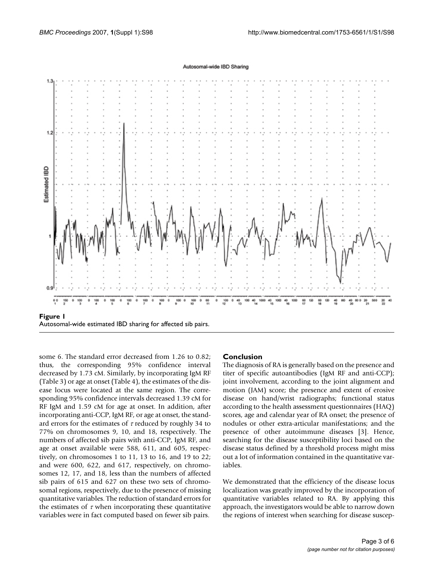#### Autosomal-wide IBD Sharing



some 6. The standard error decreased from 1.26 to 0.82; thus, the corresponding 95% confidence interval decreased by 1.73 cM. Similarly, by incorporating IgM RF (Table 3) or age at onset (Table 4), the estimates of the disease locus were located at the same region. The corresponding 95% confidence intervals decreased 1.39 cM for RF IgM and 1.59 cM for age at onset. In addition, after incorporating anti-CCP, IgM RF, or age at onset, the standard errors for the estimates of  $\tau$  reduced by roughly 34 to 77% on chromosomes 9, 10, and 18, respectively. The numbers of affected sib pairs with anti-CCP, IgM RF, and age at onset available were 588, 611, and 605, respectively, on chromosomes 1 to 11, 13 to 16, and 19 to 22; and were 600, 622, and 617, respectively, on chromosomes 12, 17, and 18, less than the numbers of affected sib pairs of 615 and 627 on these two sets of chromosomal regions, respectively, due to the presence of missing quantitative variables. The reduction of standard errors for the estimates of  $\tau$  when incorporating these quantitative variables were in fact computed based on fewer sib pairs.

#### **Conclusion**

The diagnosis of RA is generally based on the presence and titer of specific autoantibodies (IgM RF and anti-CCP); joint involvement, according to the joint alignment and motion (JAM) score; the presence and extent of erosive disease on hand/wrist radiographs; functional status according to the health assessment questionnaires (HAQ) scores, age and calendar year of RA onset; the presence of nodules or other extra-articular manifestations; and the presence of other autoimmune diseases [3]. Hence, searching for the disease susceptibility loci based on the disease status defined by a threshold process might miss out a lot of information contained in the quantitative variables.

We demonstrated that the efficiency of the disease locus localization was greatly improved by the incorporation of quantitative variables related to RA. By applying this approach, the investigators would be able to narrow down the regions of interest when searching for disease suscep-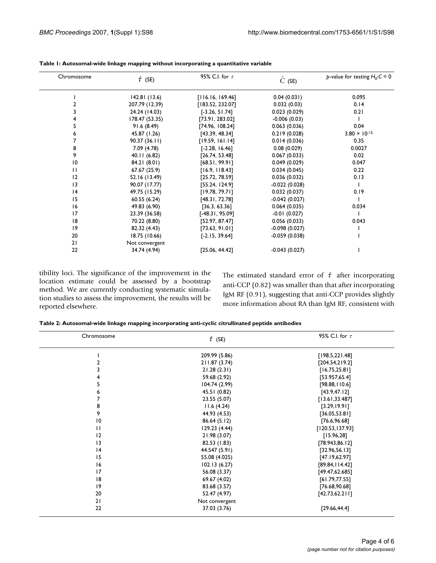| Chromosome   | $\hat{\tau}$ (SE) | 95% C.I. for $\tau$ | $\ddot{C}$ (SE) | p-value for testing $H_0$ : $C = 0$ |
|--------------|-------------------|---------------------|-----------------|-------------------------------------|
|              | 142.81(13.6)      | [116.16, 169.46]    | 0.04(0.031)     | 0.095                               |
|              | 207.79 (12.39)    | [183.52, 232.07]    | 0.032(0.03)     | 0.14                                |
|              | 24.24 (14.03)     | $[-3.26, 51.74]$    | 0.023(0.029)    | 0.21                                |
|              | 178.47 (53.35)    | [73.91, 283.02]     | $-0.006(0.03)$  |                                     |
|              | 91.6 (8.49)       | [74.96, 108.24]     | 0.063(0.036)    | 0.04                                |
|              | 45.87 (1.26)      | [43.39, 48.34]      | 0.219(0.028)    | $3.80 \times 10^{-15}$              |
|              | 90.37(36.11)      | [19.59, 161.14]     | 0.014(0.036)    | 0.35                                |
| 8            | 7.09 (4.78)       | $[-2.28, 16.46]$    | 0.08(0.029)     | 0.0027                              |
| 9            | 40.11 (6.82)      | [26.74, 53.48]      | 0.067(0.033)    | 0.02                                |
| 10           | 84.21 (8.01)      | [68.51, 99.91]      | 0.049(0.029)    | 0.047                               |
| $\mathbf{1}$ | 67.67 (25.9)      | [16.9, 118.43]      | 0.034(0.045)    | 0.22                                |
| 12           | 52.16 (13.49)     | [25.72, 78.59]      | 0.036(0.032)    | 0.13                                |
| 13           | 90.07 (17.77)     | [55.24, 124.9]      | $-0.022(0.028)$ |                                     |
| 4            | 49.75 (15.29)     | [19.78, 79.71]      | 0.032(0.037)    | 0.19                                |
| 15           | 60.55(6.24)       | [48.31, 72.78]      | $-0.042(0.027)$ |                                     |
| 16           | 49.83 (6.90)      | [36.3, 63.36]       | 0.064(0.035)    | 0.034                               |
| 17           | 23.39 (36.58)     | [-48.31, 95.09]     | $-0.01(0.027)$  |                                     |
| 18           | 70.22 (8.80)      | [52.97, 87.47]      | 0.056(0.033)    | 0.043                               |
| 9            | 82.32 (4.43)      | [73.63, 91.01]      | $-0.098(0.027)$ |                                     |
| 20           | 18.75 (10.66)     | $[-2.15, 39.64]$    | $-0.059(0.038)$ |                                     |
| 21           | Not convergent    |                     |                 |                                     |
| 22           | 34.74 (4.94)      | [25.06, 44.42]      | $-0.043(0.027)$ |                                     |

| Table 1: Autosomal-wide linkage mapping without incorporating a quantitative variable |  |  |  |
|---------------------------------------------------------------------------------------|--|--|--|
|---------------------------------------------------------------------------------------|--|--|--|

tibility loci. The significance of the improvement in the location estimate could be assessed by a bootstrap method. We are currently conducting systematic simulation studies to assess the improvement, the results will be reported elsewhere.

The estimated standard error of  $\hat{\tau}$  after incorporating anti-CCP (0.82) was smaller than that after incorporating IgM RF (0.91), suggesting that anti-CCP provides slightly more information about RA than IgM RF, consistent with

| Table 2: Autosomal-wide linkage mapping incorporating anti-cyclic citrullinated peptide antibodies |  |  |
|----------------------------------------------------------------------------------------------------|--|--|
|                                                                                                    |  |  |

| Chromosome      | $\hat{\tau}$ (SE) | 95% C.I. for $\tau$ |
|-----------------|-------------------|---------------------|
|                 | 209.99 (5.86)     | [198.5, 221.48]     |
| 2               | 211.87 (3.74)     | [204.54, 219.2]     |
| 3               | 21.28(2.31)       | [16.75, 25.81]      |
| 4               | 59.68 (2.92)      | [53.957, 65.4]      |
| 5               | 104.74 (2.99)     | [98.88, 110.6]      |
| 6               | 45.51 (0.82)      | [43.9, 47.12]       |
| 7               | 23.55 (5.07)      | [13.61, 33.487]     |
| 8               | 11.6(4.24)        | [3.29, 19.91]       |
| 9               | 44.93 (4.53)      | [36.05, 53.81]      |
| $\overline{10}$ | 86.64 (5.12)      | [76.6, 96.68]       |
| $\mathbf{H}$    | 129.23(4.44)      | [120.53, 137.93]    |
| 12              | 21.98 (3.07)      | [15.96, 28]         |
| 13              | 82.53 (1.83)      | [78.943, 86.12]     |
| 4               | 44.547 (5.91)     | [32.96, 56.13]      |
| 15              | 55.08 (4.025)     | [47.19, 62.97]      |
| 16              | 102.13(6.27)      | [89.84, 114.42]     |
| 17              | 56.08 (3.37)      | [49.47, 62.685]     |
| 8               | 69.67 (4.02)      | [61.79, 77.55]      |
| 9               | 83.68 (3.57)      | [76.68, 90.68]      |
| 20              | 52.47 (4.97)      | [42.73, 62.211]     |
| 21              | Not convergent    |                     |
| 22              | 37.03 (3.76)      | [29.66, 44.4]       |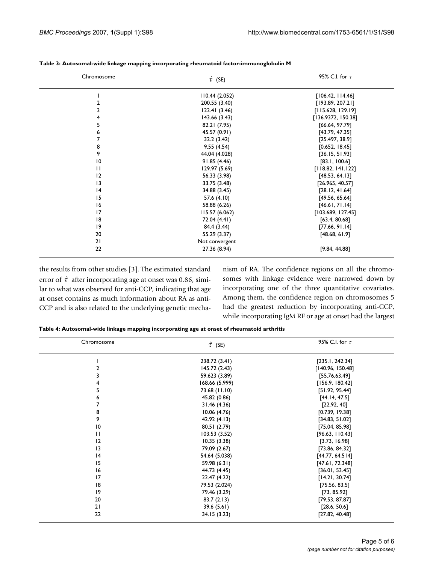| Chromosome              | $\hat{\tau}$ (SE) | 95% C.I. for $\tau$ |
|-------------------------|-------------------|---------------------|
|                         | 110.44 (2.052)    | [106.42, 114.46]    |
| $\overline{\mathbf{c}}$ | 200.55 (3.40)     | [193.89, 207.21]    |
| 3                       | 122.41(3.46)      | [115.628, 129.19]   |
| $\overline{\mathbf{4}}$ | 143.66 (3.43)     | [136.9372, 150.38]  |
| 5                       | 82.21 (7.95)      | [66.64, 97.79]      |
| 6                       | 45.57 (0.91)      | [43.79, 47.35]      |
| 7                       | 32.2 (3.42)       | [25.497, 38.9]      |
| 8                       | 9.55(4.54)        | [0.652, 18.45]      |
| 9                       | 44.04 (4.028)     | [36.15, 51.93]      |
| $\overline{10}$         | 91.85 (4.46)      | [83.1, 100.6]       |
| $\mathbf{H}$            | 129.97 (5.69)     | [118.82, 141.122]   |
| 12                      | 56.33 (3.98)      | [48.53, 64.13]      |
| 3                       | 33.75 (3.48)      | [26.965, 40.57]     |
| 4                       | 34.88 (3.45)      | [28.12, 41.64]      |
| 15                      | 57.6 (4.10)       | [49.56, 65.64]      |
| 16                      | 58.88 (6.26)      | [46.61, 71.14]      |
| 17                      | 115.57 (6.062)    | [103.689, 127.45]   |
| 18                      | 72.04 (4.41)      | [63.4, 80.68]       |
| 9                       | 84.4 (3.44)       | [77.66, 91.14]      |
| 20                      | 55.29 (3.37)      | [48.68, 61.9]       |
| 21                      | Not convergent    |                     |
| 22                      | 27.36 (8.94)      | [9.84, 44.88]       |

**Table 3: Autosomal-wide linkage mapping incorporating rheumatoid factor-immunoglobulin M**

the results from other studies [3]. The estimated standard error of  $\hat{\tau}$  after incorporating age at onset was 0.86, similar to what was observed for anti-CCP, indicating that age at onset contains as much information about RA as anti-CCP and is also related to the underlying genetic mechanism of RA. The confidence regions on all the chromosomes with linkage evidence were narrowed down by incorporating one of the three quantitative covariates. Among them, the confidence region on chromosomes 5 had the greatest reduction by incorporating anti-CCP, while incorporating IgM RF or age at onset had the largest

**Table 4: Autosomal-wide linkage mapping incorporating age at onset of rheumatoid arthritis**

| Chromosome              | $\hat{\tau}$ (SE) | 95% C.I. for $\tau$ |
|-------------------------|-------------------|---------------------|
|                         | 238.72 (3.41)     | [235.1, 242.34]     |
| 2                       | 145.72 (2.43)     | [140.96, 150.48]    |
| 3                       | 59.623 (3.89)     | [55.76, 63.49]      |
| $\overline{\mathbf{4}}$ | 168.66 (5.999)    | [156.9, 180.42]     |
| 5                       | 73.68 (11.10)     | [51.92, 95.44]      |
| 6                       | 45.82 (0.86)      | [44.14, 47.5]       |
| 7                       | 31.46 (4.36)      | [22.92, 40]         |
| 8                       | 10.06(4.76)       | [0.739, 19.38]      |
| 9                       | 42.92 (4.13)      | [34.83, 51.02]      |
| $\overline{10}$         | 80.51 (2.79)      | [75.04, 85.98]      |
| $\mathbf{H}$            | 103.53 (3.52)     | [96.63, 110.43]     |
| 12                      | 10.35(3.38)       | [3.73, 16.98]       |
| 13                      | 79.09 (2.67)      | [73.86, 84.32]      |
| 4                       | 54.64 (5.038)     | [44.77, 64.514]     |
| 15                      | 59.98 (6.31)      | [47.61, 72.348]     |
| 16                      | 44.73 (4.45)      | [36.01, 53.45]      |
| 17                      | 22.47 (4.22)      | [14.21, 30.74]      |
| 18                      | 79.53 (2.024)     | [75.56, 83.5]       |
| 9                       | 79.46 (3.29)      | [73, 85.92]         |
| 20                      | 83.7(2.13)        | [79.53, 87.87]      |
| 21                      | 39.6(5.61)        | [28.6, 50.6]        |
| 22                      | 34.15 (3.23)      | [27.82, 40.48]      |